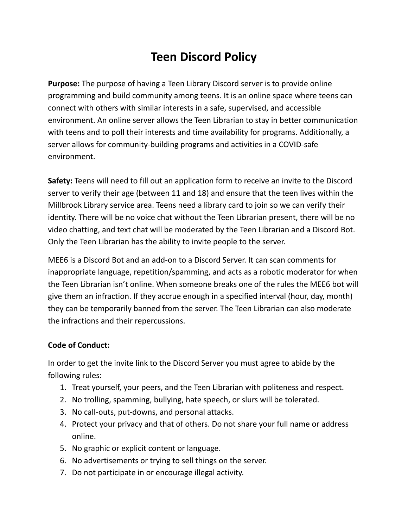## **Teen Discord Policy**

**Purpose:** The purpose of having a Teen Library Discord server is to provide online programming and build community among teens. It is an online space where teens can connect with others with similar interests in a safe, supervised, and accessible environment. An online server allows the Teen Librarian to stay in better communication with teens and to poll their interests and time availability for programs. Additionally, a server allows for community-building programs and activities in a COVID-safe environment.

**Safety:** Teens will need to fill out an application form to receive an invite to the Discord server to verify their age (between 11 and 18) and ensure that the teen lives within the Millbrook Library service area. Teens need a library card to join so we can verify their identity. There will be no voice chat without the Teen Librarian present, there will be no video chatting, and text chat will be moderated by the Teen Librarian and a Discord Bot. Only the Teen Librarian has the ability to invite people to the server.

MEE6 is a Discord Bot and an add-on to a Discord Server. It can scan comments for inappropriate language, repetition/spamming, and acts as a robotic moderator for when the Teen Librarian isn't online. When someone breaks one of the rules the MEE6 bot will give them an infraction. If they accrue enough in a specified interval (hour, day, month) they can be temporarily banned from the server. The Teen Librarian can also moderate the infractions and their repercussions.

## **Code of Conduct:**

In order to get the invite link to the Discord Server you must agree to abide by the following rules:

- 1. Treat yourself, your peers, and the Teen Librarian with politeness and respect.
- 2. No trolling, spamming, bullying, hate speech, or slurs will be tolerated.
- 3. No call-outs, put-downs, and personal attacks.
- 4. Protect your privacy and that of others. Do not share your full name or address online.
- 5. No graphic or explicit content or language.
- 6. No advertisements or trying to sell things on the server.
- 7. Do not participate in or encourage illegal activity.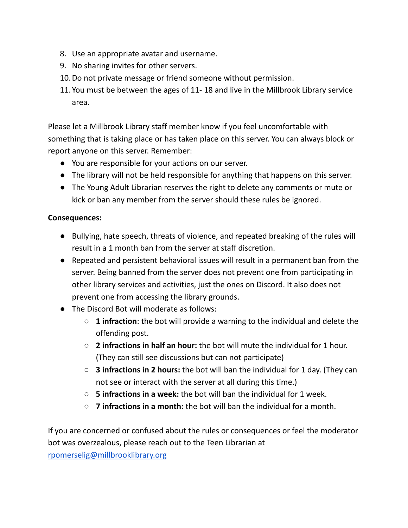- 8. Use an appropriate avatar and username.
- 9. No sharing invites for other servers.
- 10.Do not private message or friend someone without permission.
- 11.You must be between the ages of 11- 18 and live in the Millbrook Library service area.

Please let a Millbrook Library staff member know if you feel uncomfortable with something that is taking place or has taken place on this server. You can always block or report anyone on this server. Remember:

- You are responsible for your actions on our server.
- The library will not be held responsible for anything that happens on this server.
- The Young Adult Librarian reserves the right to delete any comments or mute or kick or ban any member from the server should these rules be ignored.

## **Consequences:**

- Bullying, hate speech, threats of violence, and repeated breaking of the rules will result in a 1 month ban from the server at staff discretion.
- Repeated and persistent behavioral issues will result in a permanent ban from the server. Being banned from the server does not prevent one from participating in other library services and activities, just the ones on Discord. It also does not prevent one from accessing the library grounds.
- The Discord Bot will moderate as follows:
	- **1 infraction**: the bot will provide a warning to the individual and delete the offending post.
	- **2 infractions in half an hour:** the bot will mute the individual for 1 hour. (They can still see discussions but can not participate)
	- **3 infractions in 2 hours:** the bot will ban the individual for 1 day. (They can not see or interact with the server at all during this time.)
	- **5 infractions in a week:** the bot will ban the individual for 1 week.
	- **7 infractions in a month:** the bot will ban the individual for a month.

If you are concerned or confused about the rules or consequences or feel the moderator bot was overzealous, please reach out to the Teen Librarian at

[rpomerselig@millbrooklibrary.org](mailto:rpomerselig@millbrooklibrary.org)